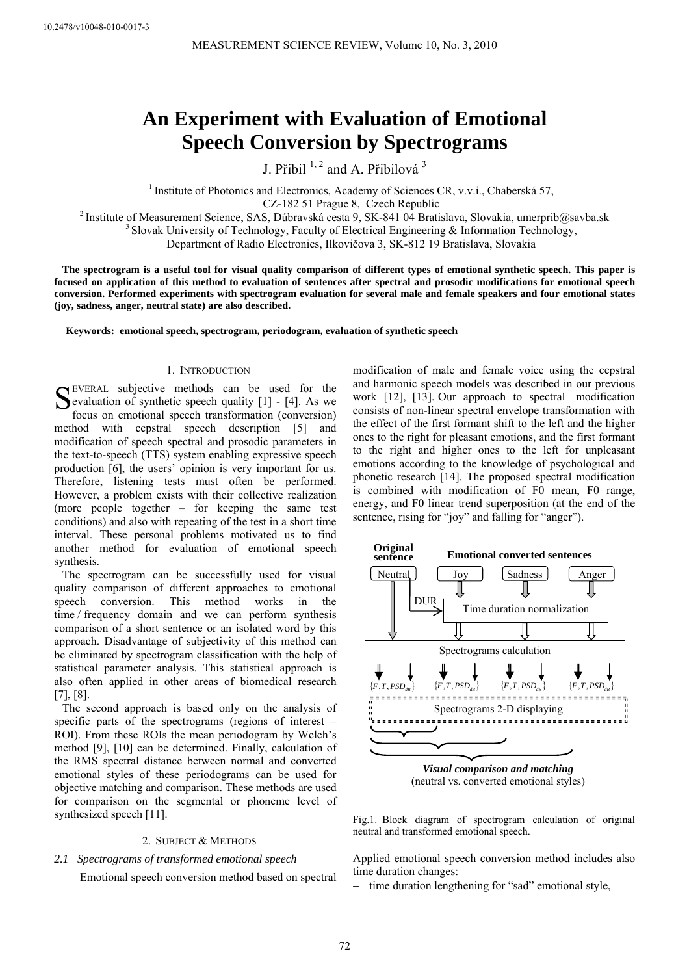# **An Experiment with Evaluation of Emotional Speech Conversion by Spectrograms**

J. Přibil  $^{1, 2}$  and A. Přibilová  $^3$ 

<sup>1</sup> Institute of Photonics and Electronics, Academy of Sciences CR, v.v.i., Chaberská 57,

CZ-182 51 Prague 8, Czech Republic<br><sup>2</sup> Institute of Measurement Science, SAS, Dúbravská cesta 9, SK-841 04 Bratislava, Slovakia, umerprib@savba.sk<br><sup>3</sup> Slovak University of Technology, Faculty of Electrical Engineering & In

Department of Radio Electronics, Ilkovičova 3, SK-812 19 Bratislava, Slovakia

**The spectrogram is a useful tool for visual quality comparison of different types of emotional synthetic speech. This paper is focused on application of this method to evaluation of sentences after spectral and prosodic modifications for emotional speech conversion. Performed experiments with spectrogram evaluation for several male and female speakers and four emotional states (joy, sadness, anger, neutral state) are also described.** 

**Keywords: emotional speech, spectrogram, periodogram, evaluation of synthetic speech**

# 1. INTRODUCTION

EVERAL subjective methods can be used for the SEVERAL subjective methods can be used for the Sevaluation of synthetic speech quality  $[1]$  -  $[4]$ . As we focus an emotional groaph transformation (conversion) focus on emotional speech transformation (conversion) method with cepstral speech description [5] and modification of speech spectral and prosodic parameters in the text-to-speech (TTS) system enabling expressive speech production [6], the users' opinion is very important for us. Therefore, listening tests must often be performed. However, a problem exists with their collective realization (more people together – for keeping the same test conditions) and also with repeating of the test in a short time interval. These personal problems motivated us to find another method for evaluation of emotional speech synthesis.

The spectrogram can be successfully used for visual quality comparison of different approaches to emotional speech conversion. This method works in the time / frequency domain and we can perform synthesis comparison of a short sentence or an isolated word by this approach. Disadvantage of subjectivity of this method can be eliminated by spectrogram classification with the help of statistical parameter analysis. This statistical approach is also often applied in other areas of biomedical research [7], [8].

The second approach is based only on the analysis of specific parts of the spectrograms (regions of interest – ROI). From these ROIs the mean periodogram by Welch's method [9], [10] can be determined. Finally, calculation of the RMS spectral distance between normal and converted emotional styles of these periodograms can be used for objective matching and comparison. These methods are used for comparison on the segmental or phoneme level of synthesized speech [11].

## 2. SUBJECT & METHODS

# *2.1 Spectrograms of transformed emotional speech*

Emotional speech conversion method based on spectral

modification of male and female voice using the cepstral and harmonic speech models was described in our previous work [12], [13]. Our approach to spectral modification consists of non-linear spectral envelope transformation with the effect of the first formant shift to the left and the higher ones to the right for pleasant emotions, and the first formant to the right and higher ones to the left for unpleasant emotions according to the knowledge of psychological and phonetic research [14]. The proposed spectral modification is combined with modification of F0 mean, F0 range, energy, and F0 linear trend superposition (at the end of the sentence, rising for "joy" and falling for "anger").



(neutral vs. converted emotional styles)

Fig.1. Block diagram of spectrogram calculation of original neutral and transformed emotional speech.

Applied emotional speech conversion method includes also time duration changes:

− time duration lengthening for "sad" emotional style,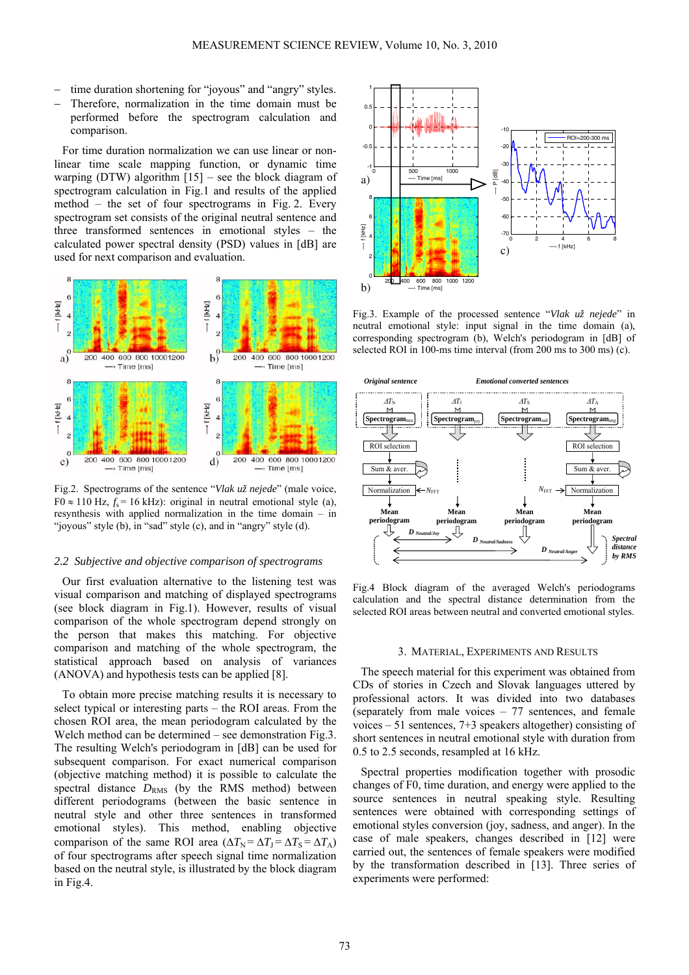- time duration shortening for "joyous" and "angry" styles.
- Therefore, normalization in the time domain must be performed before the spectrogram calculation and comparison.

For time duration normalization we can use linear or nonlinear time scale mapping function, or dynamic time warping (DTW) algorithm  $[15]$  – see the block diagram of spectrogram calculation in Fig.1 and results of the applied method – the set of four spectrograms in Fig. 2. Every spectrogram set consists of the original neutral sentence and three transformed sentences in emotional styles – the calculated power spectral density (PSD) values in [dB] are used for next comparison and evaluation.



Fig.2. Spectrograms of the sentence "*Vlak už nejede*" (male voice, F0 ≈ 110 Hz,  $f_s$  = 16 kHz): original in neutral emotional style (a), resynthesis with applied normalization in the time domain – in "joyous" style (b), in "sad" style (c), and in "angry" style (d).

## *2.2 Subjective and objective comparison of spectrograms*

Our first evaluation alternative to the listening test was visual comparison and matching of displayed spectrograms (see block diagram in Fig.1). However, results of visual comparison of the whole spectrogram depend strongly on the person that makes this matching. For objective comparison and matching of the whole spectrogram, the statistical approach based on analysis of variances (ANOVA) and hypothesis tests can be applied [8].

To obtain more precise matching results it is necessary to select typical or interesting parts – the ROI areas. From the chosen ROI area, the mean periodogram calculated by the Welch method can be determined – see demonstration Fig.3. The resulting Welch's periodogram in [dB] can be used for subsequent comparison. For exact numerical comparison (objective matching method) it is possible to calculate the spectral distance  $D_{RMS}$  (by the RMS method) between different periodograms (between the basic sentence in neutral style and other three sentences in transformed emotional styles). This method, enabling objective comparison of the same ROI area  $(\Delta T_N = \Delta T_J = \Delta T_S = \Delta T_A)$ of four spectrograms after speech signal time normalization based on the neutral style, is illustrated by the block diagram in Fig.4.



Fig.3. Example of the processed sentence "*Vlak už nejede*" in neutral emotional style: input signal in the time domain (a), corresponding spectrogram (b), Welch's periodogram in [dB] of selected ROI in 100-ms time interval (from 200 ms to 300 ms) (c).



Fig.4 Block diagram of the averaged Welch's periodograms calculation and the spectral distance determination from the selected ROI areas between neutral and converted emotional styles.

#### 3. MATERIAL, EXPERIMENTS AND RESULTS

The speech material for this experiment was obtained from CDs of stories in Czech and Slovak languages uttered by professional actors. It was divided into two databases (separately from male voices – 77 sentences, and female voices – 51 sentences, 7+3 speakers altogether) consisting of short sentences in neutral emotional style with duration from 0.5 to 2.5 seconds, resampled at 16 kHz.

Spectral properties modification together with prosodic changes of F0, time duration, and energy were applied to the source sentences in neutral speaking style. Resulting sentences were obtained with corresponding settings of emotional styles conversion (joy, sadness, and anger). In the case of male speakers, changes described in [12] were carried out, the sentences of female speakers were modified by the transformation described in [13]. Three series of experiments were performed: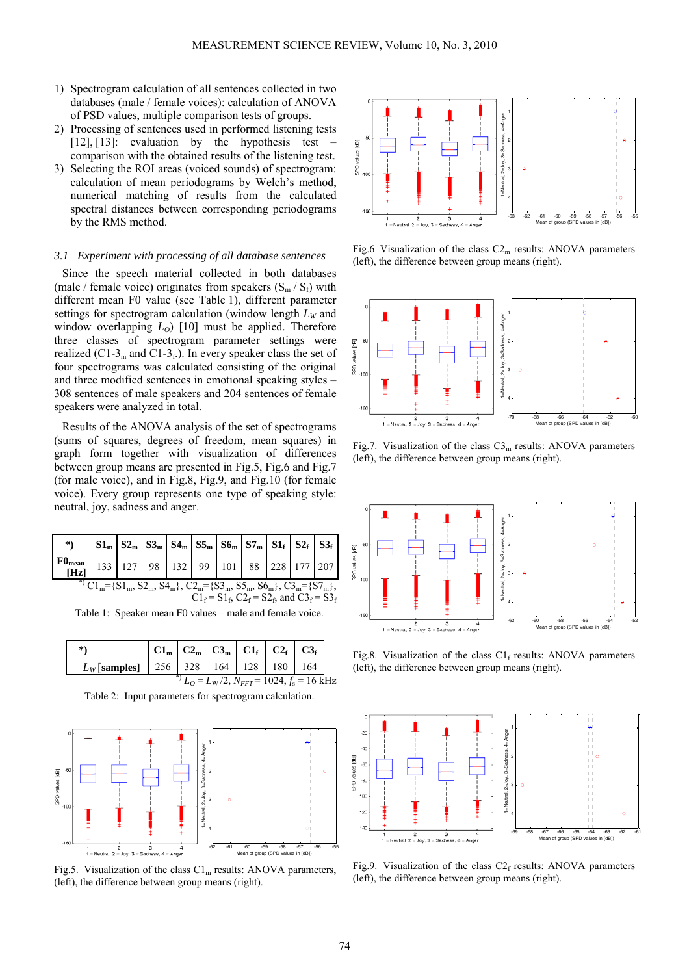- 1) Spectrogram calculation of all sentences collected in two databases (male / female voices): calculation of ANOVA of PSD values, multiple comparison tests of groups.
- 2) Processing of sentences used in performed listening tests [12],  $[13]$ : evaluation by the hypothesis test comparison with the obtained results of the listening test.
- 3) Selecting the ROI areas (voiced sounds) of spectrogram: calculation of mean periodograms by Welch's method, numerical matching of results from the calculated spectral distances between corresponding periodograms by the RMS method.

#### *3.1 Experiment with processing of all database sentences*

Since the speech material collected in both databases (male / female voice) originates from speakers  $(S_m / S_f)$  with different mean F0 value (see Table 1), different parameter settings for spectrogram calculation (window length  $L_W$  and window overlapping  $L_0$  [10] must be applied. Therefore three classes of spectrogram parameter settings were realized (C1-3<sub>m</sub> and C1-3<sub>f</sub>.). In every speaker class the set of four spectrograms was calculated consisting of the original and three modified sentences in emotional speaking styles – 308 sentences of male speakers and 204 sentences of female speakers were analyzed in total.

Results of the ANOVA analysis of the set of spectrograms (sums of squares, degrees of freedom, mean squares) in graph form together with visualization of differences between group means are presented in Fig.5, Fig.6 and Fig.7 (for male voice), and in Fig.8, Fig.9, and Fig.10 (for female voice). Every group represents one type of speaking style: neutral, joy, sadness and anger.

| $\ast$ )                                                                                                                                                                                                                                                 |  |  |  | $ \text{S1}_{\text{m}} \text{S2}_{\text{m}} \text{S3}_{\text{m}} \text{S4}_{\text{m}} \text{S5}_{\text{m}} \text{S6}_{\text{m}} \text{S7}_{\text{m}} \text{S1}_{\text{f}} \text{S2}_{\text{f}} \text{S3}_{\text{f}} $ |  |  |  |  |  |
|----------------------------------------------------------------------------------------------------------------------------------------------------------------------------------------------------------------------------------------------------------|--|--|--|-----------------------------------------------------------------------------------------------------------------------------------------------------------------------------------------------------------------------|--|--|--|--|--|
| [Hz]                                                                                                                                                                                                                                                     |  |  |  | $\vert$ 133   127   98   132   99   101   88   228   177   207                                                                                                                                                        |  |  |  |  |  |
| <sup>*</sup> C1 <sub>m</sub> ={S1 <sub>m</sub> , S2 <sub>m</sub> , S4 <sub>m</sub> }, C2 <sub>m</sub> ={S3 <sub>m</sub> , S5 <sub>m</sub> , S6 <sub>m</sub> }, C3 <sub>m</sub> ={S7 <sub>m</sub> },<br>$C1_f = S1_f$ , $C2_f = S2_f$ , and $C3_f = S3_f$ |  |  |  |                                                                                                                                                                                                                       |  |  |  |  |  |

Table 1: Speaker mean F0 values – male and female voice.

| *)                                                  |  |  | $C1_m$ $C2_m$ $C3_m$ $C1_f$ $C2_f$ $C3_f$         |  |
|-----------------------------------------------------|--|--|---------------------------------------------------|--|
| $L_W$ [samples]   256   328   164   128   180   164 |  |  |                                                   |  |
|                                                     |  |  | $L_0 = L_W/2$ , $N_{FFT} = 1024$ , $f_s = 16$ kHz |  |

Table 2: Input parameters for spectrogram calculation.



Fig.5. Visualization of the class  $Cl_m$  results: ANOVA parameters, (left), the difference between group means (right).



Fig.6 Visualization of the class  $C2<sub>m</sub>$  results: ANOVA parameters (left), the difference between group means (right).



Fig.7. Visualization of the class  $C3<sub>m</sub>$  results: ANOVA parameters (left), the difference between group means (right).



Fig.8. Visualization of the class  $Cl_f$  results: ANOVA parameters (left), the difference between group means (right).



Fig.9. Visualization of the class  $C2_f$  results: ANOVA parameters (left), the difference between group means (right).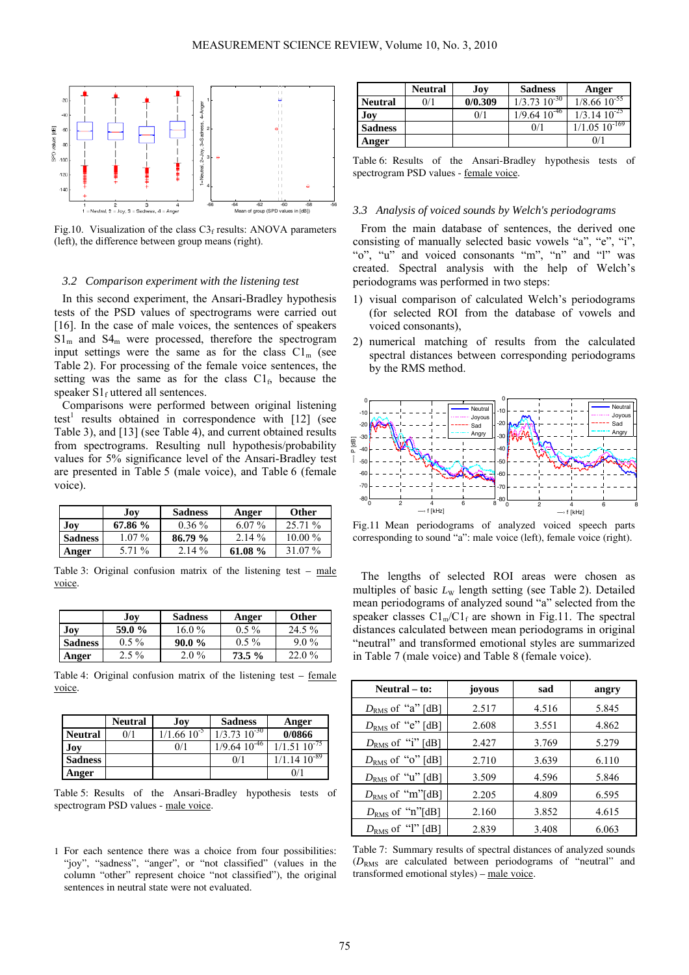

Fig.10. Visualization of the class  $C3<sub>f</sub>$  results: ANOVA parameters (left), the difference between group means (right).

#### *3.2 Comparison experiment with the listening test*

In this second experiment, the Ansari-Bradley hypothesis tests of the PSD values of spectrograms were carried out [16]. In the case of male voices, the sentences of speakers  $S1<sub>m</sub>$  and  $S4<sub>m</sub>$  were processed, therefore the spectrogram input settings were the same as for the class  $Cl<sub>m</sub>$  (see Table 2). For processing of the female voice sentences, the setting was the same as for the class  $Cl<sub>f</sub>$ , because the speaker  $S1_f$  uttered all sentences.

Comparisons were performed between original listening test<sup>1</sup> results obtained in correspondence with [12] (see Table 3), and [13] (see Table 4), and current obtained results from spectrograms. Resulting null hypothesis/probability values for 5% significance level of the Ansari-Bradley test are presented in Table 5 (male voice), and Table 6 (female voice).

|                | Jov      | <b>Sadness</b> | Anger    | <b>Other</b> |
|----------------|----------|----------------|----------|--------------|
| Jov            | 67.86 %  | $0.36\%$       | $6.07\%$ | 25.71 %      |
| <b>Sadness</b> | $1.07\%$ | 86.79%         | $2.14\%$ | $10.00\%$    |
| Anger          | 5.71 %   | $2.14\%$       | 61.08 %  | 31 07 %      |

Table 3: Original confusion matrix of the listening test  $-$  male voice.

|                | Joy     | <b>Sadness</b> | Anger   | <b>Other</b> |
|----------------|---------|----------------|---------|--------------|
| Joy            | 59.0 %  | $16.0\%$       | $0.5\%$ | 24.5 %       |
| <b>Sadness</b> | $0.5\%$ | $90.0\%$       | $0.5\%$ | $9.0\%$      |
| Anger          | $2.5\%$ | $2.0\%$        | 73.5 %  | $22.0\%$     |

Table 4: Original confusion matrix of the listening test – female voice.

|                | <b>Neutral</b> | Joy              | <b>Sadness</b>      | Anger                       |
|----------------|----------------|------------------|---------------------|-----------------------------|
| <b>Neutral</b> | 0/1            | $1/1.66~10^{-5}$ | $1/3.73\ 10^{-30}$  | 0/0866                      |
| Joy            |                | 0/1              | $1/9.64$ $10^{-46}$ | $1/1.51\ 10^{-75}$          |
| <b>Sadness</b> |                |                  | 0/1                 | $1/1.14 \overline{10^{89}}$ |
| Anger          |                |                  |                     | 0/1                         |

Table 5: Results of the Ansari-Bradley hypothesis tests of spectrogram PSD values - male voice.

1 For each sentence there was a choice from four possibilities: "joy", "sadness", "anger", or "not classified" (values in the column "other" represent choice "not classified"), the original sentences in neutral state were not evaluated.

|                | <b>Neutral</b> | Joy     | <b>Sadness</b>               | Anger                        |
|----------------|----------------|---------|------------------------------|------------------------------|
| <b>Neutral</b> | 0/1            | 0/0.309 | $1/3.73 \overline{10^{-30}}$ | $1/8.66$ $10^{-55}$          |
| <b>Joy</b>     |                | 0/1     | $1/9.64$ $10^{-46}$          | $1/3.1410^{25}$              |
| <b>Sadness</b> |                |         | 0/1                          | $1/1.05 \overline{10^{169}}$ |
| Anger          |                |         |                              | 0/1                          |

Table 6: Results of the Ansari-Bradley hypothesis tests of spectrogram PSD values - female voice.

## *3.3 Analysis of voiced sounds by Welch's periodograms*

From the main database of sentences, the derived one consisting of manually selected basic vowels "a", "e", "i", "o", "u" and voiced consonants "m", "n" and "l" was created. Spectral analysis with the help of Welch's periodograms was performed in two steps:

- 1) visual comparison of calculated Welch's periodograms (for selected ROI from the database of vowels and voiced consonants),
- 2) numerical matching of results from the calculated spectral distances between corresponding periodograms by the RMS method.



Fig.11 Mean periodograms of analyzed voiced speech parts corresponding to sound "a": male voice (left), female voice (right).

The lengths of selected ROI areas were chosen as multiples of basic  $L_W$  length setting (see Table 2). Detailed mean periodograms of analyzed sound "a" selected from the speaker classes  $Cl_m/Cl_f$  are shown in Fig.11. The spectral distances calculated between mean periodograms in original "neutral" and transformed emotional styles are summarized in Table 7 (male voice) and Table 8 (female voice).

| Neutral – to:         | joyous | sad   | angry |
|-----------------------|--------|-------|-------|
| $D_{RMS}$ of "a" [dB] | 2.517  | 4.516 | 5.845 |
| $D_{RMS}$ of "e" [dB] | 2.608  | 3.551 | 4.862 |
| $D_{RMS}$ of "i" [dB] | 2.427  | 3.769 | 5.279 |
| $D_{RMS}$ of "o" [dB] | 2.710  | 3.639 | 6.110 |
| $D_{RMS}$ of "u" [dB] | 3.509  | 4.596 | 5.846 |
| $D_{RMS}$ of "m"[dB]  | 2.205  | 4.809 | 6.595 |
| $D_{RMS}$ of "n"[dB]  | 2.160  | 3.852 | 4.615 |
| $D_{RMS}$ of "l" [dB] | 2.839  | 3.408 | 6.063 |

Table 7: Summary results of spectral distances of analyzed sounds (*D*RMS are calculated between periodograms of "neutral" and transformed emotional styles) – male voice.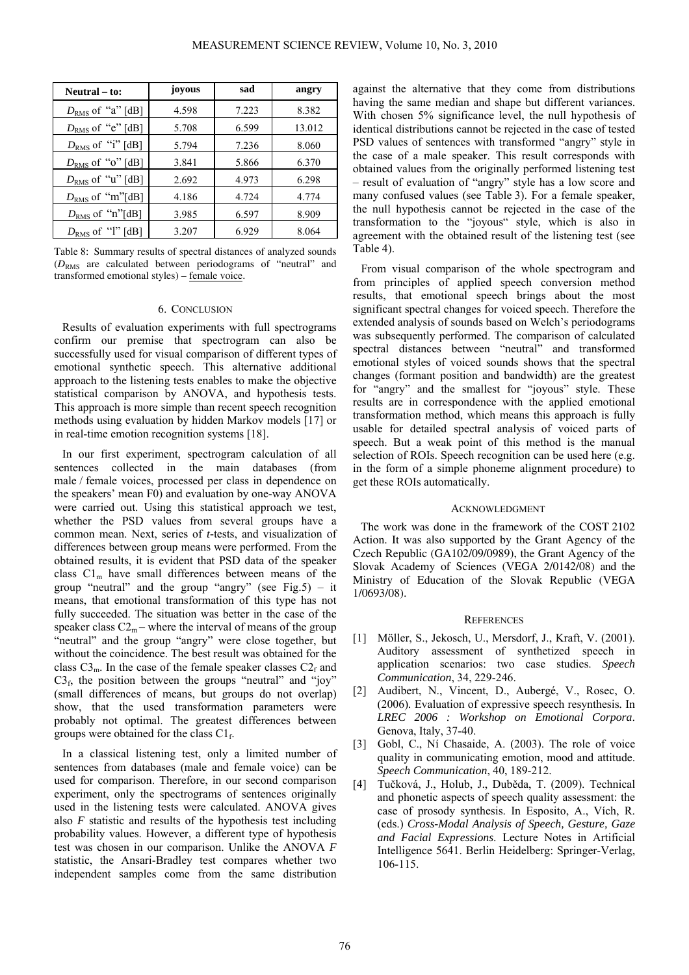| Neutral – to:         | joyous | sad   | angry  |
|-----------------------|--------|-------|--------|
| $D_{RMS}$ of "a" [dB] | 4.598  | 7.223 | 8.382  |
| $D_{RMS}$ of "e" [dB] | 5.708  | 6.599 | 13.012 |
| $D_{RMS}$ of "i" [dB] | 5.794  | 7.236 | 8.060  |
| $D_{RMS}$ of "o" [dB] | 3.841  | 5.866 | 6.370  |
| $D_{RMS}$ of "u" [dB] | 2.692  | 4.973 | 6.298  |
| $D_{RMS}$ of "m"[dB]  | 4.186  | 4.724 | 4.774  |
| $D_{RMS}$ of "n"[dB]  | 3.985  | 6.597 | 8.909  |
| $D_{RMS}$ of "l" [dB] | 3.207  | 6.929 | 8.064  |

Table 8: Summary results of spectral distances of analyzed sounds (*D*RMS are calculated between periodograms of "neutral" and transformed emotional styles) – female voice.

## 6. CONCLUSION

Results of evaluation experiments with full spectrograms confirm our premise that spectrogram can also be successfully used for visual comparison of different types of emotional synthetic speech. This alternative additional approach to the listening tests enables to make the objective statistical comparison by ANOVA, and hypothesis tests. This approach is more simple than recent speech recognition methods using evaluation by hidden Markov models [17] or in real-time emotion recognition systems [18].

In our first experiment, spectrogram calculation of all sentences collected in the main databases (from male / female voices, processed per class in dependence on the speakers' mean F0) and evaluation by one-way ANOVA were carried out. Using this statistical approach we test, whether the PSD values from several groups have a common mean. Next, series of *t-*tests, and visualization of differences between group means were performed. From the obtained results, it is evident that PSD data of the speaker class  $Cl<sub>m</sub>$  have small differences between means of the group "neutral" and the group "angry" (see Fig.5) – it means, that emotional transformation of this type has not fully succeeded. The situation was better in the case of the speaker class  $C2_m$  – where the interval of means of the group "neutral" and the group "angry" were close together, but without the coincidence. The best result was obtained for the class  $C3<sub>m</sub>$ . In the case of the female speaker classes  $C2<sub>f</sub>$  and  $C3<sub>f</sub>$ , the position between the groups "neutral" and "joy" (small differences of means, but groups do not overlap) show, that the used transformation parameters were probably not optimal. The greatest differences between groups were obtained for the class  $Cl_f$ .

In a classical listening test, only a limited number of sentences from databases (male and female voice) can be used for comparison. Therefore, in our second comparison experiment, only the spectrograms of sentences originally used in the listening tests were calculated. ANOVA gives also *F* statistic and results of the hypothesis test including probability values. However, a different type of hypothesis test was chosen in our comparison. Unlike the ANOVA *F* statistic, the Ansari-Bradley test compares whether two independent samples come from the same distribution

against the alternative that they come from distributions having the same median and shape but different variances. With chosen 5% significance level, the null hypothesis of identical distributions cannot be rejected in the case of tested PSD values of sentences with transformed "angry" style in the case of a male speaker. This result corresponds with obtained values from the originally performed listening test – result of evaluation of "angry" style has a low score and many confused values (see Table 3). For a female speaker, the null hypothesis cannot be rejected in the case of the transformation to the "joyous" style, which is also in agreement with the obtained result of the listening test (see Table 4).

From visual comparison of the whole spectrogram and from principles of applied speech conversion method results, that emotional speech brings about the most significant spectral changes for voiced speech. Therefore the extended analysis of sounds based on Welch's periodograms was subsequently performed. The comparison of calculated spectral distances between "neutral" and transformed emotional styles of voiced sounds shows that the spectral changes (formant position and bandwidth) are the greatest for "angry" and the smallest for "joyous" style. These results are in correspondence with the applied emotional transformation method, which means this approach is fully usable for detailed spectral analysis of voiced parts of speech. But a weak point of this method is the manual selection of ROIs. Speech recognition can be used here (e.g. in the form of a simple phoneme alignment procedure) to get these ROIs automatically.

#### ACKNOWLEDGMENT

The work was done in the framework of the COST 2102 Action. It was also supported by the Grant Agency of the Czech Republic (GA102/09/0989), the Grant Agency of the Slovak Academy of Sciences (VEGA 2/0142/08) and the Ministry of Education of the Slovak Republic (VEGA 1/0693/08).

#### **REFERENCES**

- [1] Möller, S., Jekosch, U., Mersdorf, J., Kraft, V. (2001). Auditory assessment of synthetized speech in application scenarios: two case studies. *Speech Communication*, 34, 229-246.
- [2] Audibert, N., Vincent, D., Aubergé, V., Rosec, O. (2006)*.* Evaluation of expressive speech resynthesis*.* In *LREC 2006 : Workshop on Emotional Corpora*. Genova, Italy, 37-40.
- [3] Gobl, C., Ní Chasaide, A. (2003). The role of voice quality in communicating emotion, mood and attitude. *Speech Communication*, 40, 189-212.
- [4] Tučková, J., Holub, J., Duběda, T. (2009). Technical and phonetic aspects of speech quality assessment: the case of prosody synthesis. In Esposito, A., Vích, R. (eds.) *Cross-Modal Analysis of Speech, Gesture, Gaze and Facial Expressions*. Lecture Notes in Artificial Intelligence 5641. Berlin Heidelberg: Springer-Verlag, 106-115.